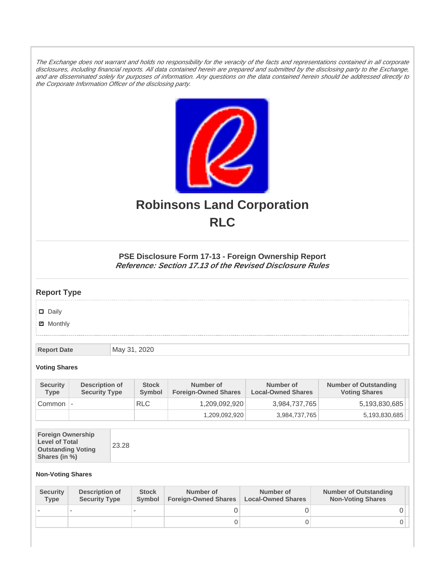The Exchange does not warrant and holds no responsibility for the veracity of the facts and representations contained in all corporate disclosures, including financial reports. All data contained herein are prepared and submitted by the disclosing party to the Exchange, and are disseminated solely for purposes of information. Any questions on the data contained herein should be addressed directly to the Corporate Information Officer of the disclosing party.



# **Robinsons Land Corporation RLC**

## **PSE Disclosure Form 17-13 - Foreign Ownership Report Reference: Section 17.13 of the Revised Disclosure Rules**

## **Report Type**

Daily

**Ø** Monthly

**Report Date** May 31, 2020

#### **Voting Shares**

| <b>Security</b><br><b>Type</b> | Description of<br><b>Security Type</b> | <b>Stock</b><br>Symbol | Number of<br><b>Foreign-Owned Shares</b> | Number of<br><b>Local-Owned Shares</b> | <b>Number of Outstanding</b><br><b>Voting Shares</b> |
|--------------------------------|----------------------------------------|------------------------|------------------------------------------|----------------------------------------|------------------------------------------------------|
| Common                         |                                        | <b>RLC</b>             | 1,209,092,920                            | 3,984,737,765                          | 5,193,830,685                                        |
|                                |                                        |                        | 1,209,092,920                            | 3,984,737,765                          | 5,193,830,685                                        |

| <b>Foreign Ownership</b><br><b>Level of Total</b><br><b>Outstanding Voting</b><br>Shares (in %) | 23.28 |
|-------------------------------------------------------------------------------------------------|-------|
|-------------------------------------------------------------------------------------------------|-------|

### **Non-Voting Shares**

| <b>Security</b><br><b>Type</b> | Description of<br><b>Security Type</b> | <b>Stock</b><br><b>Symbol</b> | Number of<br><b>Foreign-Owned Shares</b> | Number of<br><b>Local-Owned Shares</b> | <b>Number of Outstanding</b><br><b>Non-Voting Shares</b> |
|--------------------------------|----------------------------------------|-------------------------------|------------------------------------------|----------------------------------------|----------------------------------------------------------|
|                                |                                        |                               |                                          |                                        |                                                          |
|                                |                                        |                               | O                                        |                                        |                                                          |